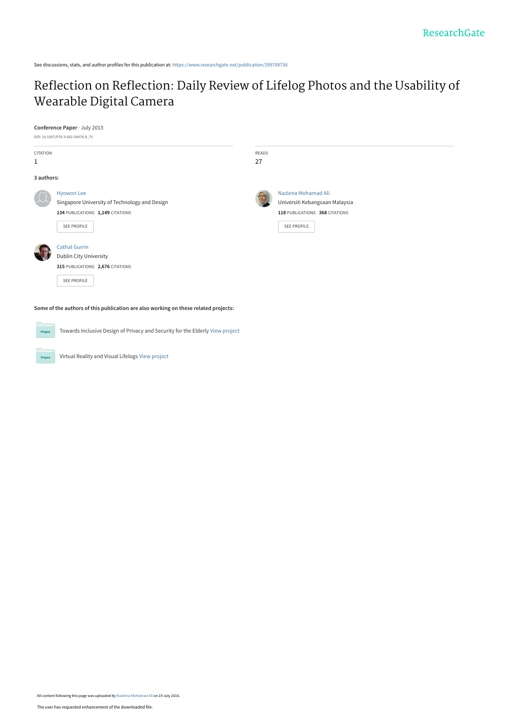See discussions, stats, and author profiles for this publication at: [https://www.researchgate.net/publication/299708736](https://www.researchgate.net/publication/299708736_Reflection_on_Reflection_Daily_Review_of_Lifelog_Photos_and_the_Usability_of_Wearable_Digital_Camera?enrichId=rgreq-7eacd91fb9c2ca16a07a49d2c35d3849-XXX&enrichSource=Y292ZXJQYWdlOzI5OTcwODczNjtBUzozODU0NjczNzY3ODMzNjNAMTQ2ODkxMzk5MjkwOA%3D%3D&el=1_x_2&_esc=publicationCoverPdf)

# [Reflection on Reflection: Daily Review of Lifelog Photos and the Usability of](https://www.researchgate.net/publication/299708736_Reflection_on_Reflection_Daily_Review_of_Lifelog_Photos_and_the_Usability_of_Wearable_Digital_Camera?enrichId=rgreq-7eacd91fb9c2ca16a07a49d2c35d3849-XXX&enrichSource=Y292ZXJQYWdlOzI5OTcwODczNjtBUzozODU0NjczNzY3ODMzNjNAMTQ2ODkxMzk5MjkwOA%3D%3D&el=1_x_3&_esc=publicationCoverPdf) Wearable Digital Camera

| Conference Paper · July 2013<br>DOI: 10.1007/978-3-642-39476-8 75 |                                                                                                                              |             |                                                                                                        |  |
|-------------------------------------------------------------------|------------------------------------------------------------------------------------------------------------------------------|-------------|--------------------------------------------------------------------------------------------------------|--|
| CITATION<br>1                                                     |                                                                                                                              | READS<br>27 |                                                                                                        |  |
| 3 authors:                                                        |                                                                                                                              |             |                                                                                                        |  |
|                                                                   | <b>Hyowon Lee</b><br>Singapore University of Technology and Design<br>134 PUBLICATIONS 1,149 CITATIONS<br><b>SEE PROFILE</b> |             | Nazlena Mohamad Ali<br>Universiti Kebangsaan Malaysia<br>118 PUBLICATIONS 368 CITATIONS<br>SEE PROFILE |  |
|                                                                   | <b>Cathal Gurrin</b><br>Dublin City University<br>315 PUBLICATIONS 2,676 CITATIONS<br><b>SEE PROFILE</b>                     |             |                                                                                                        |  |
|                                                                   | Some of the authors of this publication are also working on these related projects:                                          |             |                                                                                                        |  |
| Project                                                           | Towards Inclusive Design of Privacy and Security for the Elderly View project                                                |             |                                                                                                        |  |

Virtual Reality and Visual Lifelogs [View project](https://www.researchgate.net/project/Virtual-Reality-and-Visual-Lifelogs?enrichId=rgreq-7eacd91fb9c2ca16a07a49d2c35d3849-XXX&enrichSource=Y292ZXJQYWdlOzI5OTcwODczNjtBUzozODU0NjczNzY3ODMzNjNAMTQ2ODkxMzk5MjkwOA%3D%3D&el=1_x_9&_esc=publicationCoverPdf)

**Project**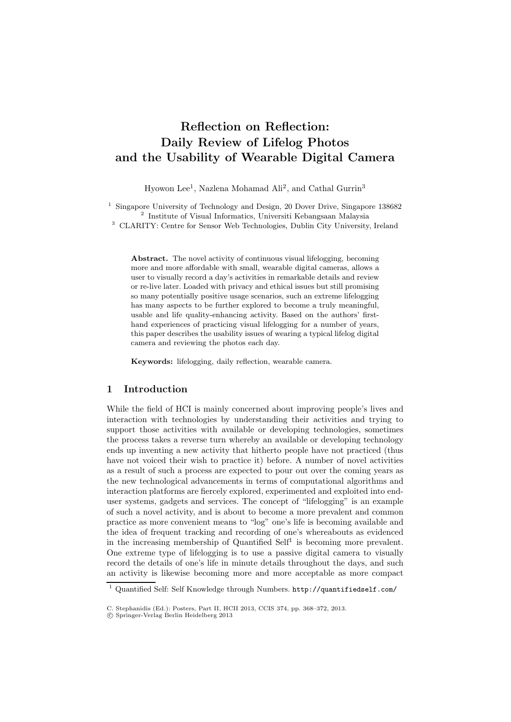## Reflection on Reflection: Daily Review of Lifelog Photos and the Usability of Wearable Digital Camera

Hyowon Lee<sup>1</sup>, Nazlena Mohamad Ali<sup>2</sup>, and Cathal Gurrin<sup>3</sup>

<sup>1</sup> Singapore University of Technology and Design, 20 Dover Drive, Singapore 138682 <sup>2</sup> Institute of Visual Informatics, Universiti Kebangsaan Malaysia

<sup>3</sup> CLARITY: Centre for Sensor Web Technologies, Dublin City University, Ireland

Abstract. The novel activity of continuous visual lifelogging, becoming more and more affordable with small, wearable digital cameras, allows a user to visually record a day's activities in remarkable details and review or re-live later. Loaded with privacy and ethical issues but still promising so many potentially positive usage scenarios, such an extreme lifelogging has many aspects to be further explored to become a truly meaningful, usable and life quality-enhancing activity. Based on the authors' firsthand experiences of practicing visual lifelogging for a number of years, this paper describes the usability issues of wearing a typical lifelog digital camera and reviewing the photos each day.

Keywords: lifelogging, daily reflection, wearable camera.

## 1 Introduction

While the field of HCI is mainly concerned about improving people's lives and interaction with technologies by understanding their activities and trying to support those activities with available or developing technologies, sometimes the process takes a reverse turn whereby an available or developing technology ends up inventing a new activity that hitherto people have not practiced (thus have not voiced their wish to practice it) before. A number of novel activities as a result of such a process are expected to pour out over the coming years as the new technological advancements in terms of computational algorithms and interaction platforms are fiercely explored, experimented and exploited into enduser systems, gadgets and services. The concept of "lifelogging" is an example of such a novel activity, and is about to become a more prevalent and common practice as more convenient means to "log" one's life is becoming available and the idea of frequent tracking and recording of one's whereabouts as evidenced in the increasing membership of Quantified Self<sup>[1](#page-1-0)</sup> is becoming more prevalent. One extreme type of lifelogging is to use a passive digital camera to visually record the details of one's life in minute details throughout the days, and such an activity is likewise becoming more and more acceptable as more compact

<sup>1</sup> Quantified Self: Self Knowledge through Numbers. http://quantifiedself.com/

<span id="page-1-0"></span>C. Stephanidis (Ed.): Posters, Part II, HCII 2013, CCIS 374, pp. 368[–372,](#page-4-0) 2013.

<sup>!</sup>c Springer-Verlag Berlin Heidelberg 2013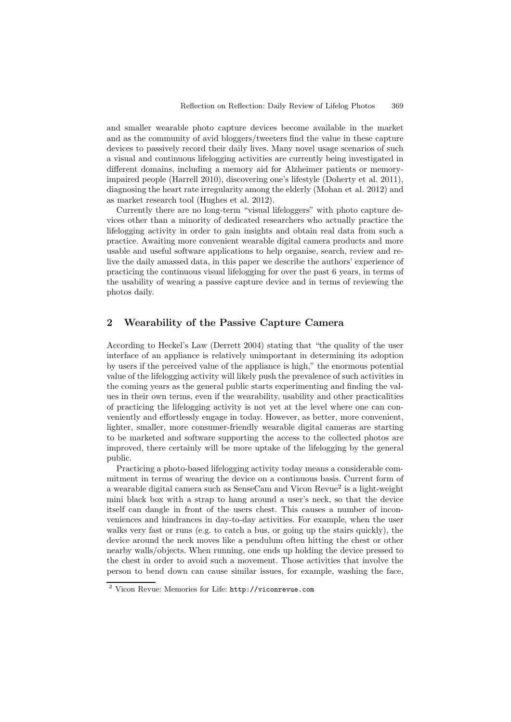and smaller wearable photo capture devices become available in the market and as the community of avid bloggers/tweeters find the value in these capture devices to passively record their daily lives. Many novel usage scenarios of such a visual and continuous lifelogging activities are currently being investigated in different domains, including a memory aid for Alzheimer patients or memoryimpaired people (Harrell 2010), discovering one's lifestyle (Doherty et al. 2011), diagnosing the heart rate irregularity among the elderly (Mohan et al. 2012) and as market research tool (Hughes et al. 2012).

Currently there are no long-term "visual lifeloggers" with photo capture devices other than a minority of dedicated researchers who actually practice the lifelogging activity in order to gain insights and obtain real data from such a practice. Awaiting more convenient wearable digital camera products and more usable and useful software applications to help organise, search, review and relive the daily amassed data, in this paper we describe the authors' experience of practicing the continuous visual lifelogging for over the past 6 years, in terms of the usability of wearing a passive capture device and in terms of reviewing the photos daily.

## 2 Wearability of the Passive Capture Camera

According to Heckel's Law (Derrett 2004) stating that "the quality of the user interface of an appliance is relatively unimportant in determining its adoption by users if the perceived value of the appliance is high," the enormous potential value of the lifelogging activity will likely push the prevalence of such activities in the coming years as the general public starts experimenting and finding the values in their own terms, even if the wearability, usability and other practicalities of practicing the lifelogging activity is not yet at the level where one can conveniently and effortlessly engage in today. However, as better, more convenient, lighter, smaller, more consumer-friendly wearable digital cameras are starting to be marketed and software supporting the access to the collected photos are improved, there certainly will be more uptake of the lifelogging by the general public.

Practicing a photo-based lifelogging activity today means a considerable commitment in terms of wearing the device on a continuous basis. Current form of a wearable digital camera such as SenseCam and Vicon Revue[2](#page-2-0) is a light-weight mini black box with a strap to hang around a user's neck, so that the device itself can dangle in front of the users chest. This causes a number of inconveniences and hindrances in day-to-day activities. For example, when the user walks very fast or runs (e.g. to catch a bus, or going up the stairs quickly), the device around the neck moves like a pendulum often hitting the chest or other nearby walls/objects. When running, one ends up holding the device pressed to the chest in order to avoid such a movement. Those activities that involve the person to bend down can cause similar issues, for example, washing the face,

<span id="page-2-0"></span><sup>2</sup> Vicon Revue: Memories for Life: <http://viconrevue.com>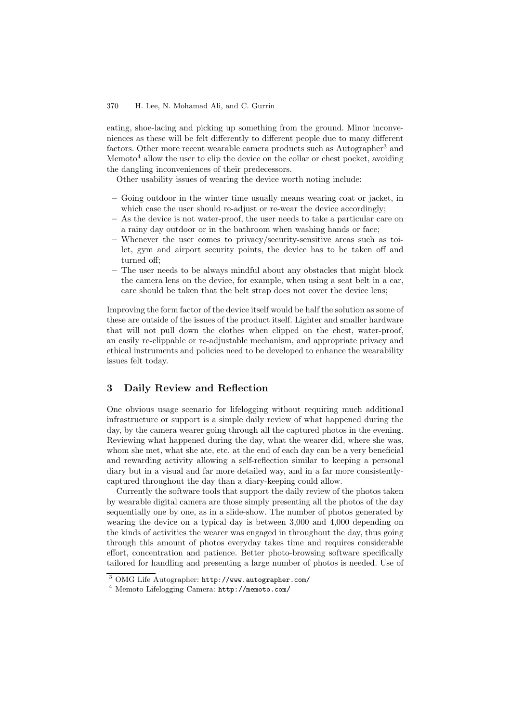#### 370 H. Lee, N. Mohamad Ali, and C. Gurrin

eating, shoe-lacing and picking up something from the ground. Minor inconveniences as these will be felt differently to different people due to many different factors. Other more recent wearable camera products such as Autographer[3](#page-3-0) and Memoto<sup>[4](#page-3-1)</sup> allow the user to clip the device on the collar or chest pocket, avoiding the dangling inconveniences of their predecessors.

Other usability issues of wearing the device worth noting include:

- Going outdoor in the winter time usually means wearing coat or jacket, in which case the user should re-adjust or re-wear the device accordingly;
- As the device is not water-proof, the user needs to take a particular care on a rainy day outdoor or in the bathroom when washing hands or face;
- Whenever the user comes to privacy/security-sensitive areas such as toilet, gym and airport security points, the device has to be taken off and turned off;
- The user needs to be always mindful about any obstacles that might block the camera lens on the device, for example, when using a seat belt in a car, care should be taken that the belt strap does not cover the device lens;

Improving the form factor of the device itself would be half the solution as some of these are outside of the issues of the product itself. Lighter and smaller hardware that will not pull down the clothes when clipped on the chest, water-proof, an easily re-clippable or re-adjustable mechanism, and appropriate privacy and ethical instruments and policies need to be developed to enhance the wearability issues felt today.

## 3 Daily Review and Reflection

One obvious usage scenario for lifelogging without requiring much additional infrastructure or support is a simple daily review of what happened during the day, by the camera wearer going through all the captured photos in the evening. Reviewing what happened during the day, what the wearer did, where she was, whom she met, what she ate, etc. at the end of each day can be a very beneficial and rewarding activity allowing a self-reflection similar to keeping a personal diary but in a visual and far more detailed way, and in a far more consistentlycaptured throughout the day than a diary-keeping could allow.

Currently the software tools that support the daily review of the photos taken by wearable digital camera are those simply presenting all the photos of the day sequentially one by one, as in a slide-show. The number of photos generated by wearing the device on a typical day is between 3,000 and 4,000 depending on the kinds of activities the wearer was engaged in throughout the day, thus going through this amount of photos everyday takes time and requires considerable effort, concentration and patience. Better photo-browsing software specifically tailored for handling and presenting a large number of photos is needed. Use of

<sup>3</sup> OMG Life Autographer: <http://www.autographer.com/>

<span id="page-3-1"></span><span id="page-3-0"></span><sup>4</sup> Memoto Lifelogging Camera: <http://memoto.com/>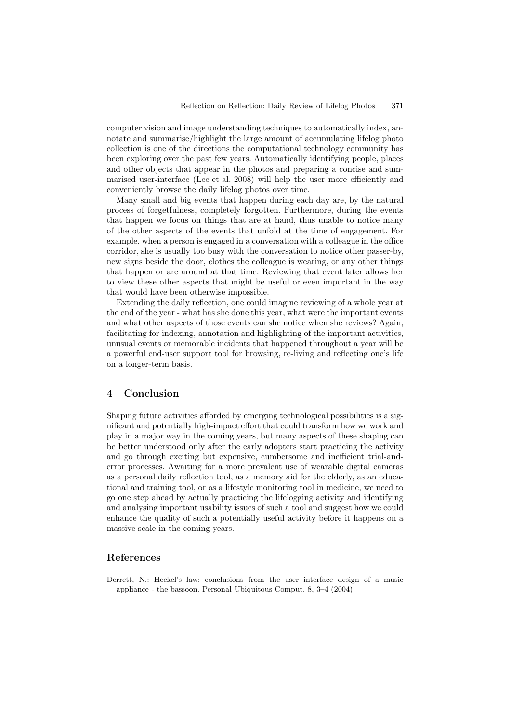computer vision and image understanding techniques to automatically index, annotate and summarise/highlight the large amount of accumulating lifelog photo collection is one of the directions the computational technology community has been exploring over the past few years. Automatically identifying people, places and other objects that appear in the photos and preparing a concise and summarised user-interface (Lee et al. 2008) will help the user more efficiently and conveniently browse the daily lifelog photos over time.

Many small and big events that happen during each day are, by the natural process of forgetfulness, completely forgotten. Furthermore, during the events that happen we focus on things that are at hand, thus unable to notice many of the other aspects of the events that unfold at the time of engagement. For example, when a person is engaged in a conversation with a colleague in the office corridor, she is usually too busy with the conversation to notice other passer-by, new signs beside the door, clothes the colleague is wearing, or any other things that happen or are around at that time. Reviewing that event later allows her to view these other aspects that might be useful or even important in the way that would have been otherwise impossible.

Extending the daily reflection, one could imagine reviewing of a whole year at the end of the year - what has she done this year, what were the important events and what other aspects of those events can she notice when she reviews? Again, facilitating for indexing, annotation and highlighting of the important activities, unusual events or memorable incidents that happened throughout a year will be a powerful end-user support tool for browsing, re-living and reflecting one's life on a longer-term basis.

### 4 Conclusion

Shaping future activities afforded by emerging technological possibilities is a significant and potentially high-impact effort that could transform how we work and play in a major way in the coming years, but many aspects of these shaping can be better understood only after the early adopters start practicing the activity and go through exciting but expensive, cumbersome and inefficient trial-anderror processes. Awaiting for a more prevalent use of wearable digital cameras as a personal daily reflection tool, as a memory aid for the elderly, as an educational and training tool, or as a lifestyle monitoring tool in medicine, we need to go one step ahead by actually practicing the lifelogging activity and identifying and analysing important usability issues of such a tool and suggest how we could enhance the quality of such a potentially useful activity before it happens on a massive scale in the coming years.

#### <span id="page-4-0"></span>References

Derrett, N.: Heckel's law: conclusions from the user interface design of a music appliance - the bassoon. Personal Ubiquitous Comput. 8, 3–4 (2004)